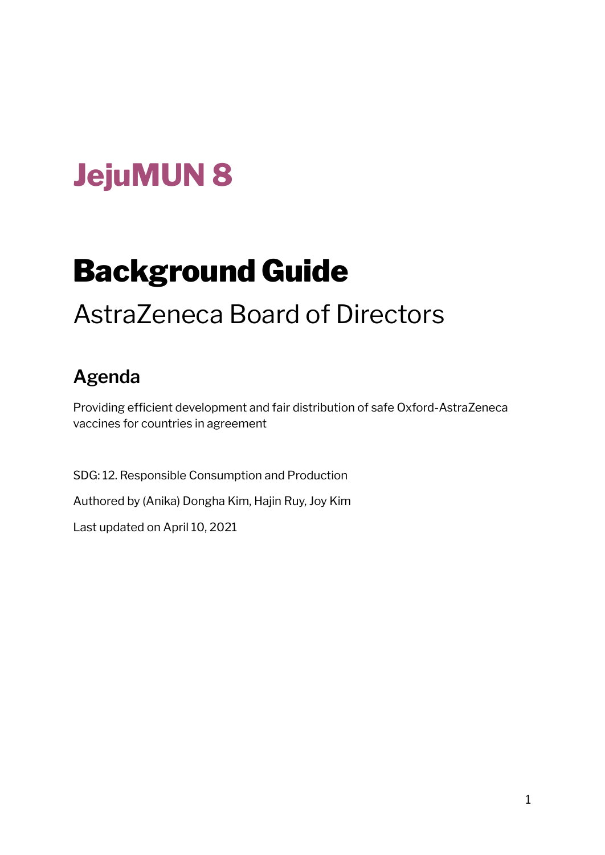# **JejuMUN 8**

# Background Guide

## AstraZeneca Board of Directors

### **Agenda**

Providing efficient development and fair distribution of safe Oxford-AstraZeneca vaccines for countries in agreement

SDG: 12. Responsible Consumption and Production Authored by (Anika) Dongha Kim, Hajin Ruy, Joy Kim Last updated on April 10, 2021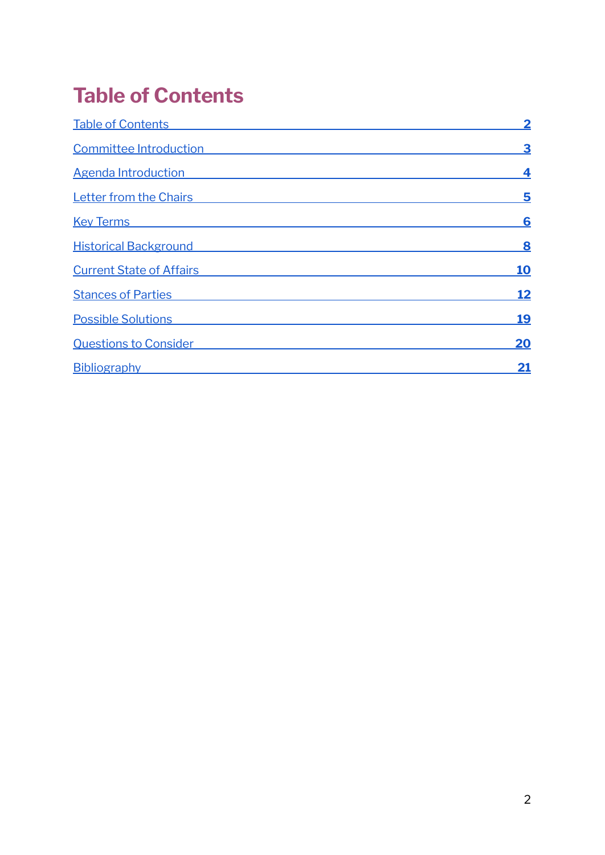### <span id="page-1-0"></span>**Table of Contents**

| <b>Table of Contents</b>        | $\overline{\mathbf{2}}$ |
|---------------------------------|-------------------------|
| Committee Introduction          | 3                       |
| Agenda Introduction             | 4                       |
| <b>Letter from the Chairs</b>   | 5                       |
| <b>Key Terms</b>                | 6                       |
| <b>Historical Background</b>    | 8                       |
| <b>Current State of Affairs</b> | <b>10</b>               |
| <b>Stances of Parties</b>       | <u>12</u>               |
| <b>Possible Solutions</b>       | <u>19</u>               |
| <b>Questions to Consider</b>    | 20                      |
| <b>Bibliography</b>             | <u> 21</u>              |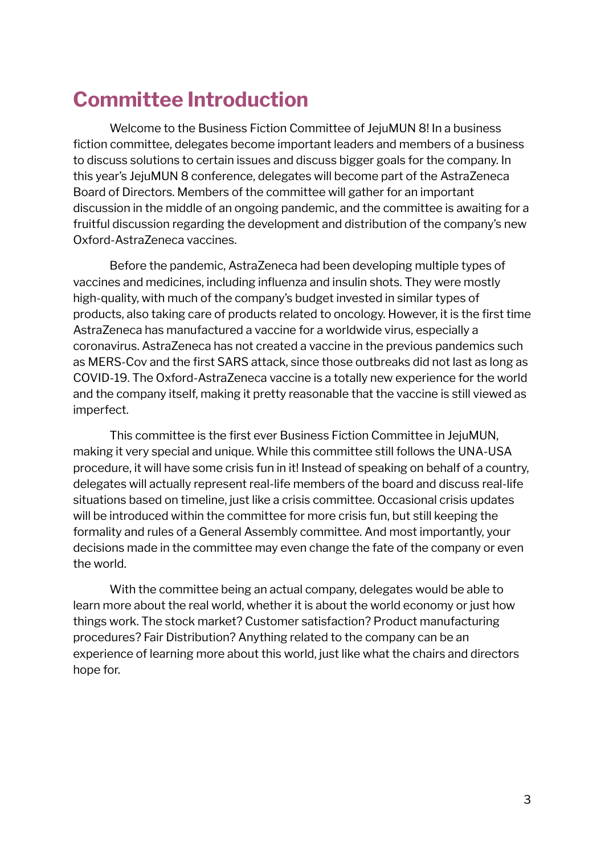### <span id="page-2-0"></span>**Committee Introduction**

Welcome to the Business Fiction Committee of JejuMUN 8! In a business fiction committee, delegates become important leaders and members of a business to discuss solutions to certain issues and discuss bigger goals for the company. In this year's JejuMUN 8 conference, delegates will become part of the AstraZeneca Board of Directors. Members of the committee will gather for an important discussion in the middle of an ongoing pandemic, and the committee is awaiting for a fruitful discussion regarding the development and distribution of the company's new Oxford-AstraZeneca vaccines.

Before the pandemic, AstraZeneca had been developing multiple types of vaccines and medicines, including influenza and insulin shots. They were mostly high-quality, with much of the company's budget invested in similar types of products, also taking care of products related to oncology. However, it is the first time AstraZeneca has manufactured a vaccine for a worldwide virus, especially a coronavirus. AstraZeneca has not created a vaccine in the previous pandemics such as MERS-Cov and the first SARS attack, since those outbreaks did not last as long as COVID-19. The Oxford-AstraZeneca vaccine is a totally new experience for the world and the company itself, making it pretty reasonable that the vaccine is still viewed as imperfect.

This committee is the first ever Business Fiction Committee in JejuMUN, making it very special and unique. While this committee still follows the UNA-USA procedure, it will have some crisis fun in it! Instead of speaking on behalf of a country, delegates will actually represent real-life members of the board and discuss real-life situations based on timeline, just like a crisis committee. Occasional crisis updates will be introduced within the committee for more crisis fun, but still keeping the formality and rules of a General Assembly committee. And most importantly, your decisions made in the committee may even change the fate of the company or even the world.

With the committee being an actual company, delegates would be able to learn more about the real world, whether it is about the world economy or just how things work. The stock market? Customer satisfaction? Product manufacturing procedures? Fair Distribution? Anything related to the company can be an experience of learning more about this world, just like what the chairs and directors hope for.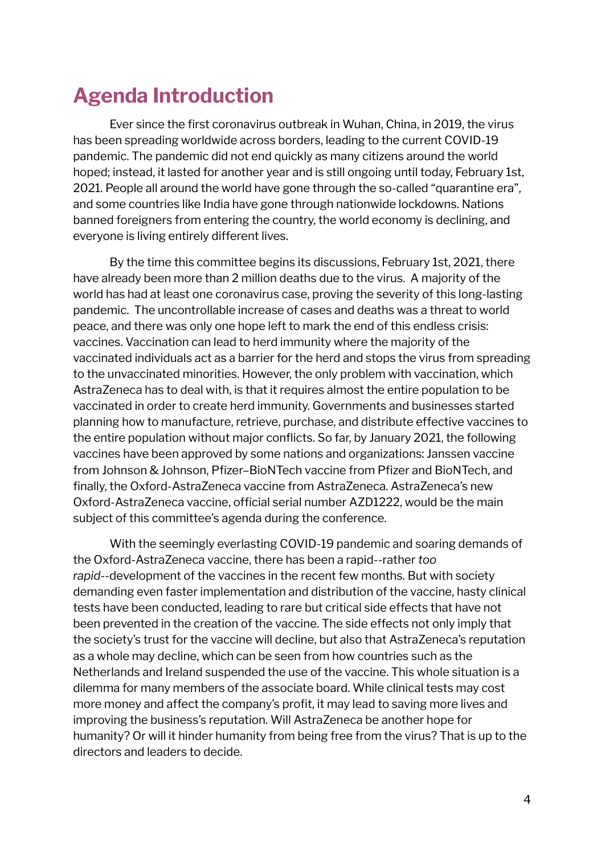### <span id="page-3-0"></span>**Agenda Introduction**

Ever since the first coronavirus outbreak in Wuhan, China, in 2019, the virus has been spreading worldwide across borders, leading to the current COVID-19 pandemic. The pandemic did not end quickly as many citizens around the world hoped; instead, it lasted for another year and is still ongoing until today, February 1st, 2021. People all around the world have gone through the so-called "quarantine era", and some countries like India have gone through nationwide lockdowns. Nations banned foreigners from entering the country, the world economy is declining, and everyone is living entirely different lives.

By the time this committee begins its discussions, February 1st, 2021, there have already been more than 2 million deaths due to the virus. A majority of the world has had at least one coronavirus case, proving the severity of this long-lasting pandemic. The uncontrollable increase of cases and deaths was a threat to world peace, and there was only one hope left to mark the end of this endless crisis: vaccines. Vaccination can lead to herd immunity where the majority of the vaccinated individuals act as a barrier for the herd and stops the virus from spreading to the unvaccinated minorities. However, the only problem with vaccination, which AstraZeneca has to deal with, is that it requires almost the entire population to be vaccinated in order to create herd immunity. Governments and businesses started planning how to manufacture, retrieve, purchase, and distribute effective vaccines to the entire population without major conflicts. So far, by January 2021, the following vaccines have been approved by some nations and organizations: Janssen vaccine from Johnson & Johnson, Pfizer–BioNTech vaccine from Pfizer and BioNTech, and finally, the Oxford-AstraZeneca vaccine from AstraZeneca. AstraZeneca's new Oxford-AstraZeneca vaccine, official serial number AZD1222, would be the main subject of this committee's agenda during the conference.

With the seemingly everlasting COVID-19 pandemic and soaring demands of the Oxford-AstraZeneca vaccine, there has been a rapid--rather *too rapid*--development of the vaccines in the recent few months. But with society demanding even faster implementation and distribution of the vaccine, hasty clinical tests have been conducted, leading to rare but critical side effects that have not been prevented in the creation of the vaccine. The side effects not only imply that the society's trust for the vaccine will decline, but also that AstraZeneca's reputation as a whole may decline, which can be seen from how countries such as the Netherlands and Ireland suspended the use of the vaccine. This whole situation is a dilemma for many members of the associate board. While clinical tests may cost more money and affect the company's profit, it may lead to saving more lives and improving the business's reputation. Will AstraZeneca be another hope for humanity? Or will it hinder humanity from being free from the virus? That is up to the directors and leaders to decide.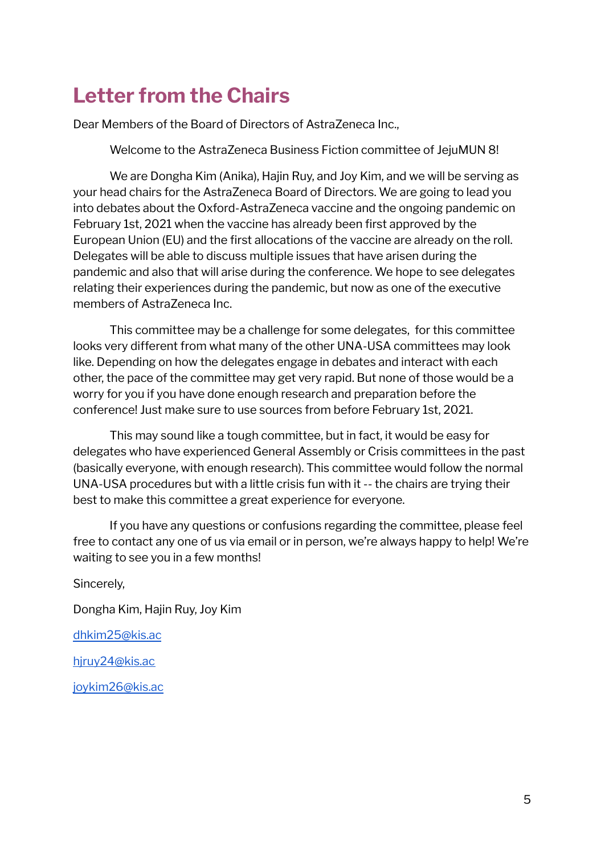### <span id="page-4-0"></span>**Letter from the Chairs**

Dear Members of the Board of Directors of AstraZeneca Inc.,

Welcome to the AstraZeneca Business Fiction committee of JejuMUN 8!

We are Dongha Kim (Anika), Hajin Ruy, and Joy Kim, and we will be serving as your head chairs for the AstraZeneca Board of Directors. We are going to lead you into debates about the Oxford-AstraZeneca vaccine and the ongoing pandemic on February 1st, 2021 when the vaccine has already been first approved by the European Union (EU) and the first allocations of the vaccine are already on the roll. Delegates will be able to discuss multiple issues that have arisen during the pandemic and also that will arise during the conference. We hope to see delegates relating their experiences during the pandemic, but now as one of the executive members of AstraZeneca Inc.

This committee may be a challenge for some delegates, for this committee looks very different from what many of the other UNA-USA committees may look like. Depending on how the delegates engage in debates and interact with each other, the pace of the committee may get very rapid. But none of those would be a worry for you if you have done enough research and preparation before the conference! Just make sure to use sources from before February 1st, 2021.

This may sound like a tough committee, but in fact, it would be easy for delegates who have experienced General Assembly or Crisis committees in the past (basically everyone, with enough research). This committee would follow the normal UNA-USA procedures but with a little crisis fun with it -- the chairs are trying their best to make this committee a great experience for everyone.

If you have any questions or confusions regarding the committee, please feel free to contact any one of us via email or in person, we're always happy to help! We're waiting to see you in a few months!

Sincerely,

Dongha Kim, Hajin Ruy, Joy Kim

[dhkim25@kis.ac](mailto:dhkim25@kis.ac)

[hjruy24@kis.ac](mailto:hjruy24@kis.ac)

[joykim26@kis.ac](mailto:joykim26@kis.ac)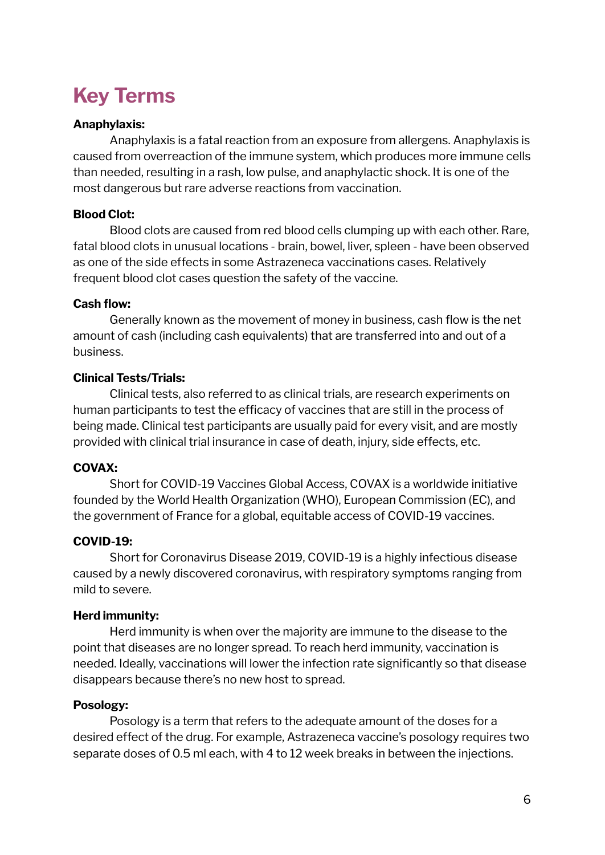### <span id="page-5-0"></span>**Key Terms**

#### **Anaphylaxis:**

Anaphylaxis is a fatal reaction from an exposure from allergens. Anaphylaxis is caused from overreaction of the immune system, which produces more immune cells than needed, resulting in a rash, low pulse, and anaphylactic shock. It is one of the most dangerous but rare adverse reactions from vaccination.

#### **Blood Clot:**

Blood clots are caused from red blood cells clumping up with each other. Rare, fatal blood clots in unusual locations - brain, bowel, liver, spleen - have been observed as one of the side effects in some Astrazeneca vaccinations cases. Relatively frequent blood clot cases question the safety of the vaccine.

#### **Cash flow:**

Generally known as the movement of money in business, cash flow is the net amount of cash (including cash equivalents) that are transferred into and out of a business.

#### **Clinical Tests/Trials:**

Clinical tests, also referred to as clinical trials, are research experiments on human participants to test the efficacy of vaccines that are still in the process of being made. Clinical test participants are usually paid for every visit, and are mostly provided with clinical trial insurance in case of death, injury, side effects, etc.

#### **COVAX:**

Short for COVID-19 Vaccines Global Access, COVAX is a worldwide initiative founded by the World Health Organization (WHO), European Commission (EC), and the government of France for a global, equitable access of COVID-19 vaccines.

#### **COVID-19:**

Short for Coronavirus Disease 2019, COVID-19 is a highly infectious disease caused by a newly discovered coronavirus, with respiratory symptoms ranging from mild to severe.

#### **Herd immunity:**

Herd immunity is when over the majority are immune to the disease to the point that diseases are no longer spread. To reach herd immunity, vaccination is needed. Ideally, vaccinations will lower the infection rate significantly so that disease disappears because there's no new host to spread.

#### **Posology:**

Posology is a term that refers to the adequate amount of the doses for a desired effect of the drug. For example, Astrazeneca vaccine's posology requires two separate doses of 0.5 ml each, with 4 to 12 week breaks in between the injections.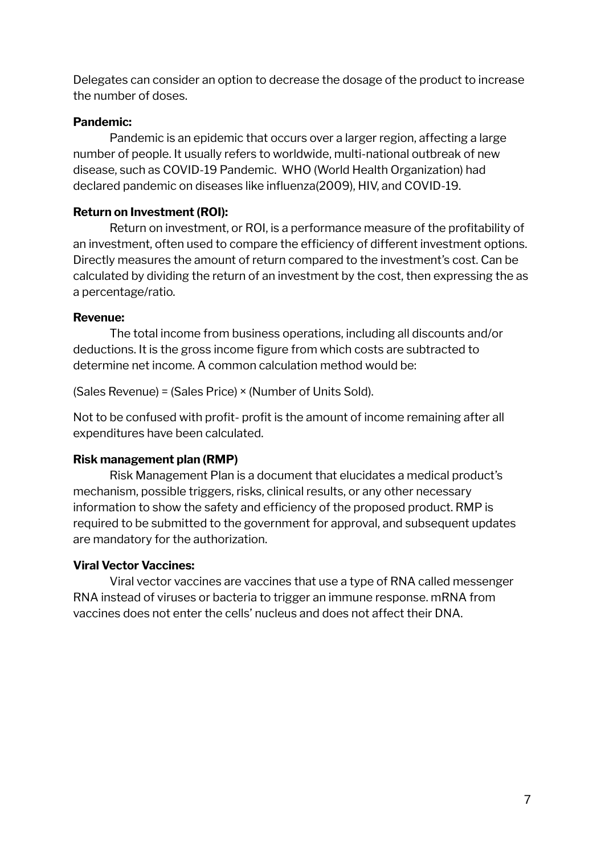Delegates can consider an option to decrease the dosage of the product to increase the number of doses.

#### **Pandemic:**

Pandemic is an epidemic that occurs over a larger region, affecting a large number of people. It usually refers to worldwide, multi-national outbreak of new disease, such as COVID-19 Pandemic. WHO (World Health Organization) had declared pandemic on diseases like influenza(2009), HIV, and COVID-19.

#### **Return on Investment (ROI):**

Return on investment, or ROI, is a performance measure of the profitability of an investment, often used to compare the efficiency of different investment options. Directly measures the amount of return compared to the investment's cost. Can be calculated by dividing the return of an investment by the cost, then expressing the as a percentage/ratio.

#### **Revenue:**

The total income from business operations, including all discounts and/or deductions. It is the gross income figure from which costs are subtracted to determine net income. A common calculation method would be:

(Sales Revenue) = (Sales Price) × (Number of Units Sold).

Not to be confused with profit- profit is the amount of income remaining after all expenditures have been calculated.

#### **Risk management plan (RMP)**

Risk Management Plan is a document that elucidates a medical product's mechanism, possible triggers, risks, clinical results, or any other necessary information to show the safety and efficiency of the proposed product. RMP is required to be submitted to the government for approval, and subsequent updates are mandatory for the authorization.

#### **Viral Vector Vaccines:**

Viral vector vaccines are vaccines that use a type of RNA called messenger RNA instead of viruses or bacteria to trigger an immune response. mRNA from vaccines does not enter the cells' nucleus and does not affect their DNA.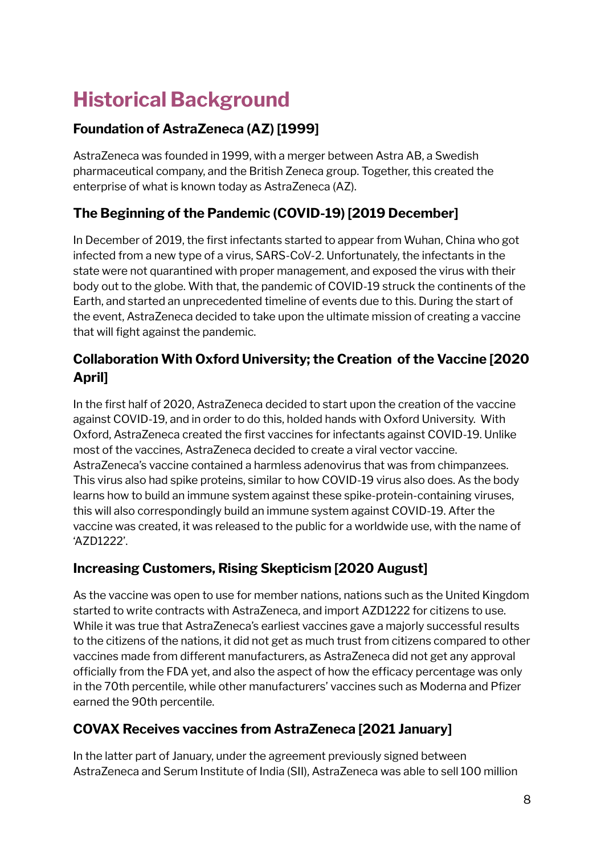## <span id="page-7-0"></span>**Historical Background**

#### **Foundation of AstraZeneca (AZ) [1999]**

AstraZeneca was founded in 1999, with a merger between Astra AB, a Swedish pharmaceutical company, and the British Zeneca group. Together, this created the enterprise of what is known today as AstraZeneca (AZ).

#### **The Beginning of the Pandemic (COVID-19) [2019 December]**

In December of 2019, the first infectants started to appear from Wuhan, China who got infected from a new type of a virus, SARS-CoV-2. Unfortunately, the infectants in the state were not quarantined with proper management, and exposed the virus with their body out to the globe. With that, the pandemic of COVID-19 struck the continents of the Earth, and started an unprecedented timeline of events due to this. During the start of the event, AstraZeneca decided to take upon the ultimate mission of creating a vaccine that will fight against the pandemic.

#### **Collaboration With Oxford University; the Creation of the Vaccine [2020 April]**

In the first half of 2020, AstraZeneca decided to start upon the creation of the vaccine against COVID-19, and in order to do this, holded hands with Oxford University. With Oxford, AstraZeneca created the first vaccines for infectants against COVID-19. Unlike most of the vaccines, AstraZeneca decided to create a viral vector vaccine. AstraZeneca's vaccine contained a harmless adenovirus that was from chimpanzees. This virus also had spike proteins, similar to how COVID-19 virus also does. As the body learns how to build an immune system against these spike-protein-containing viruses, this will also correspondingly build an immune system against COVID-19. After the vaccine was created, it was released to the public for a worldwide use, with the name of 'AZD1222'.

#### **Increasing Customers, Rising Skepticism [2020 August]**

As the vaccine was open to use for member nations, nations such as the United Kingdom started to write contracts with AstraZeneca, and import AZD1222 for citizens to use. While it was true that AstraZeneca's earliest vaccines gave a majorly successful results to the citizens of the nations, it did not get as much trust from citizens compared to other vaccines made from different manufacturers, as AstraZeneca did not get any approval officially from the FDA yet, and also the aspect of how the efficacy percentage was only in the 70th percentile, while other manufacturers' vaccines such as Moderna and Pfizer earned the 90th percentile.

#### **COVAX Receives vaccines from AstraZeneca [2021 January]**

In the latter part of January, under the agreement previously signed between AstraZeneca and Serum Institute of India (SII), AstraZeneca was able to sell 100 million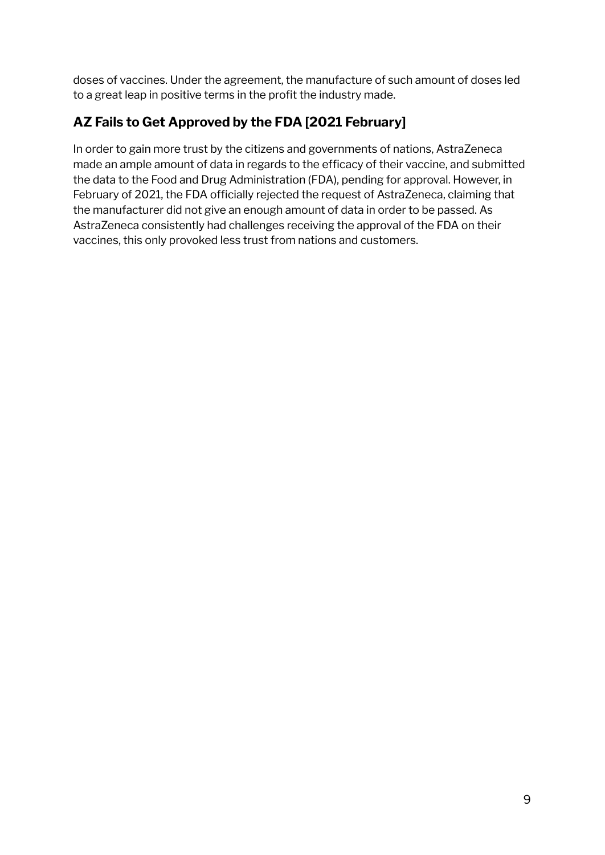doses of vaccines. Under the agreement, the manufacture of such amount of doses led to a great leap in positive terms in the profit the industry made.

#### **AZ Fails to Get Approved by the FDA [2021 February]**

In order to gain more trust by the citizens and governments of nations, AstraZeneca made an ample amount of data in regards to the efficacy of their vaccine, and submitted the data to the Food and Drug Administration (FDA), pending for approval. However, in February of 2021, the FDA officially rejected the request of AstraZeneca, claiming that the manufacturer did not give an enough amount of data in order to be passed. As AstraZeneca consistently had challenges receiving the approval of the FDA on their vaccines, this only provoked less trust from nations and customers.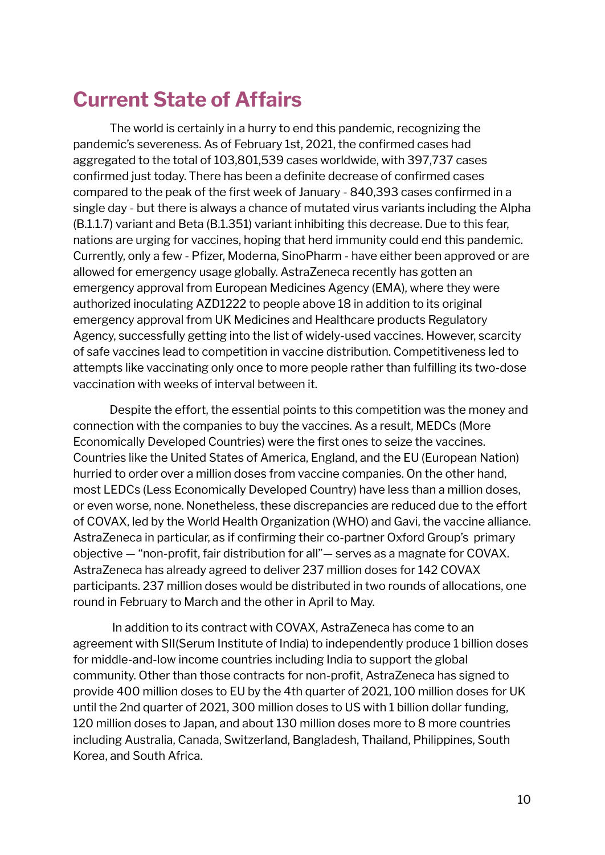### <span id="page-9-0"></span>**Current State of Affairs**

The world is certainly in a hurry to end this pandemic, recognizing the pandemic's severeness. As of February 1st, 2021, the confirmed cases had aggregated to the total of 103,801,539 cases worldwide, with 397,737 cases confirmed just today. There has been a definite decrease of confirmed cases compared to the peak of the first week of January - 840,393 cases confirmed in a single day - but there is always a chance of mutated virus variants including the Alpha (B.1.1.7) variant and Beta (B.1.351) variant inhibiting this decrease. Due to this fear, nations are urging for vaccines, hoping that herd immunity could end this pandemic. Currently, only a few - Pfizer, Moderna, SinoPharm - have either been approved or are allowed for emergency usage globally. AstraZeneca recently has gotten an emergency approval from European Medicines Agency (EMA), where they were authorized inoculating AZD1222 to people above 18 in addition to its original emergency approval from UK Medicines and Healthcare products Regulatory Agency, successfully getting into the list of widely-used vaccines. However, scarcity of safe vaccines lead to competition in vaccine distribution. Competitiveness led to attempts like vaccinating only once to more people rather than fulfilling its two-dose vaccination with weeks of interval between it.

Despite the effort, the essential points to this competition was the money and connection with the companies to buy the vaccines. As a result, MEDCs (More Economically Developed Countries) were the first ones to seize the vaccines. Countries like the United States of America, England, and the EU (European Nation) hurried to order over a million doses from vaccine companies. On the other hand, most LEDCs (Less Economically Developed Country) have less than a million doses, or even worse, none. Nonetheless, these discrepancies are reduced due to the effort of COVAX, led by the World Health Organization (WHO) and Gavi, the vaccine alliance. AstraZeneca in particular, as if confirming their co-partner Oxford Group's primary objective — "non-profit, fair distribution for all"— serves as a magnate for COVAX. AstraZeneca has already agreed to deliver 237 million doses for 142 COVAX participants. 237 million doses would be distributed in two rounds of allocations, one round in February to March and the other in April to May.

In addition to its contract with COVAX, AstraZeneca has come to an agreement with SII(Serum Institute of India) to independently produce 1 billion doses for middle-and-low income countries including India to support the global community. Other than those contracts for non-profit, AstraZeneca has signed to provide 400 million doses to EU by the 4th quarter of 2021, 100 million doses for UK until the 2nd quarter of 2021, 300 million doses to US with 1 billion dollar funding, 120 million doses to Japan, and about 130 million doses more to 8 more countries including Australia, Canada, Switzerland, Bangladesh, Thailand, Philippines, South Korea, and South Africa.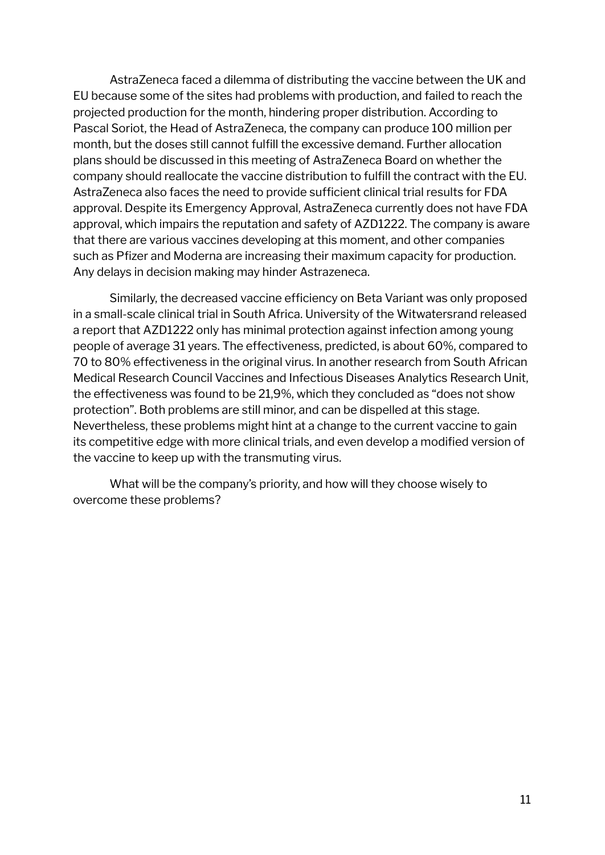AstraZeneca faced a dilemma of distributing the vaccine between the UK and EU because some of the sites had problems with production, and failed to reach the projected production for the month, hindering proper distribution. According to Pascal Soriot, the Head of AstraZeneca, the company can produce 100 million per month, but the doses still cannot fulfill the excessive demand. Further allocation plans should be discussed in this meeting of AstraZeneca Board on whether the company should reallocate the vaccine distribution to fulfill the contract with the EU. AstraZeneca also faces the need to provide sufficient clinical trial results for FDA approval. Despite its Emergency Approval, AstraZeneca currently does not have FDA approval, which impairs the reputation and safety of AZD1222. The company is aware that there are various vaccines developing at this moment, and other companies such as Pfizer and Moderna are increasing their maximum capacity for production. Any delays in decision making may hinder Astrazeneca.

Similarly, the decreased vaccine efficiency on Beta Variant was only proposed in a small-scale clinical trial in South Africa. University of the Witwatersrand released a report that AZD1222 only has minimal protection against infection among young people of average 31 years. The effectiveness, predicted, is about 60%, compared to 70 to 80% effectiveness in the original virus. In another research from South African Medical Research Council Vaccines and Infectious Diseases Analytics Research Unit, the effectiveness was found to be 21,9%, which they concluded as "does not show protection". Both problems are still minor, and can be dispelled at this stage. Nevertheless, these problems might hint at a change to the current vaccine to gain its competitive edge with more clinical trials, and even develop a modified version of the vaccine to keep up with the transmuting virus.

What will be the company's priority, and how will they choose wisely to overcome these problems?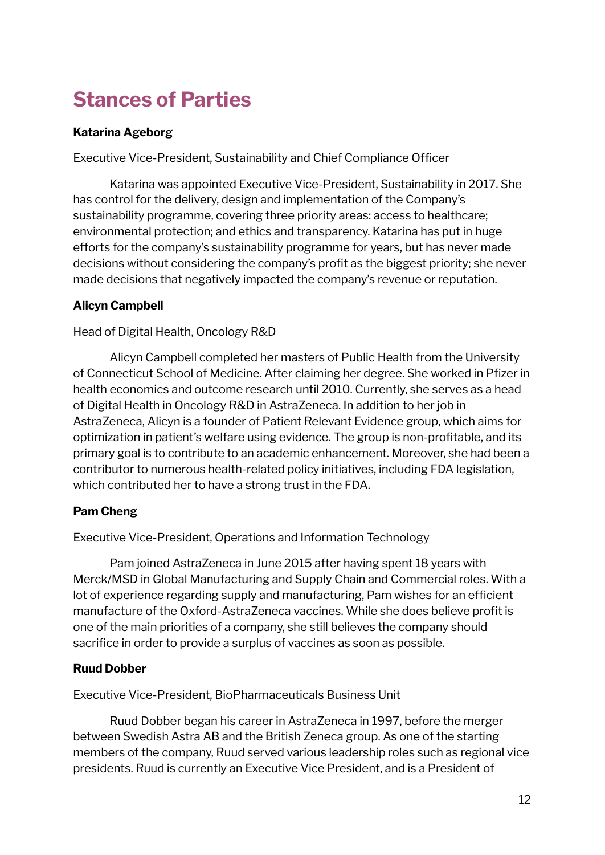### <span id="page-11-0"></span>**Stances of Parties**

#### **Katarina Ageborg**

Executive Vice-President, Sustainability and Chief Compliance Officer

Katarina was appointed Executive Vice-President, Sustainability in 2017. She has control for the delivery, design and implementation of the Company's sustainability programme, covering three priority areas: access to healthcare; environmental protection; and ethics and transparency. Katarina has put in huge efforts for the company's sustainability programme for years, but has never made decisions without considering the company's profit as the biggest priority; she never made decisions that negatively impacted the company's revenue or reputation.

#### **Alicyn Campbell**

Head of Digital Health, Oncology R&D

Alicyn Campbell completed her masters of Public Health from the University of Connecticut School of Medicine. After claiming her degree. She worked in Pfizer in health economics and outcome research until 2010. Currently, she serves as a head of Digital Health in Oncology R&D in AstraZeneca. In addition to her job in AstraZeneca, Alicyn is a founder of Patient Relevant Evidence group, which aims for optimization in patient's welfare using evidence. The group is non-profitable, and its primary goal is to contribute to an academic enhancement. Moreover, she had been a contributor to numerous health-related policy initiatives, including FDA legislation, which contributed her to have a strong trust in the FDA.

#### **Pam Cheng**

Executive Vice-President, Operations and Information Technology

Pam joined AstraZeneca in June 2015 after having spent 18 years with Merck/MSD in Global Manufacturing and Supply Chain and Commercial roles. With a lot of experience regarding supply and manufacturing, Pam wishes for an efficient manufacture of the Oxford-AstraZeneca vaccines. While she does believe profit is one of the main priorities of a company, she still believes the company should sacrifice in order to provide a surplus of vaccines as soon as possible.

#### **Ruud Dobber**

Executive Vice-President, BioPharmaceuticals Business Unit

Ruud Dobber began his career in AstraZeneca in 1997, before the merger between Swedish Astra AB and the British Zeneca group. As one of the starting members of the company, Ruud served various leadership roles such as regional vice presidents. Ruud is currently an Executive Vice President, and is a President of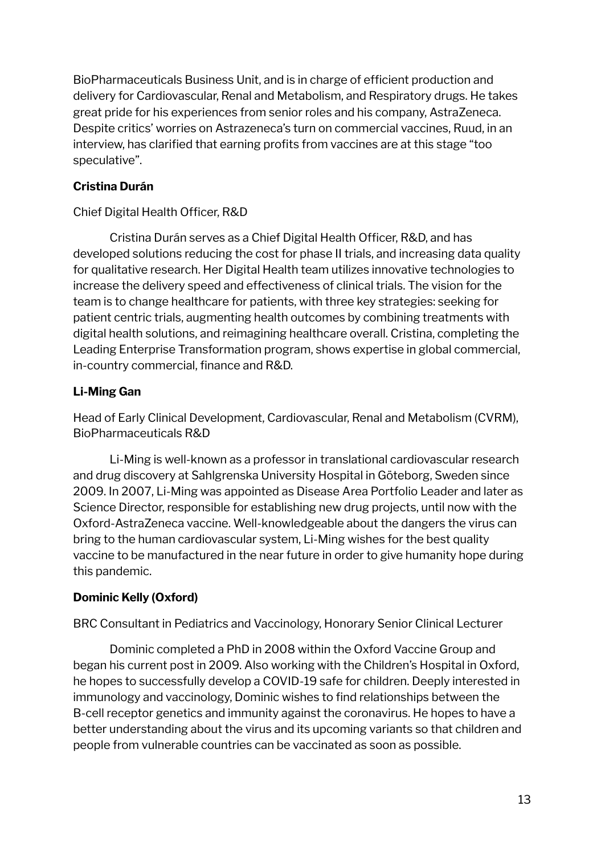BioPharmaceuticals Business Unit, and is in charge of efficient production and delivery for Cardiovascular, Renal and Metabolism, and Respiratory drugs. He takes great pride for his experiences from senior roles and his company, AstraZeneca. Despite critics' worries on Astrazeneca's turn on commercial vaccines, Ruud, in an interview, has clarified that earning profits from vaccines are at this stage "too speculative".

#### **Cristina Durán**

#### Chief Digital Health Officer, R&D

Cristina Durán serves as a Chief Digital Health Officer, R&D, and has developed solutions reducing the cost for phase II trials, and increasing data quality for qualitative research. Her Digital Health team utilizes innovative technologies to increase the delivery speed and effectiveness of clinical trials. The vision for the team is to change healthcare for patients, with three key strategies: seeking for patient centric trials, augmenting health outcomes by combining treatments with digital health solutions, and reimagining healthcare overall. Cristina, completing the Leading Enterprise Transformation program, shows expertise in global commercial, in-country commercial, finance and R&D.

#### **Li-Ming Gan**

Head of Early Clinical Development, Cardiovascular, Renal and Metabolism (CVRM), BioPharmaceuticals R&D

Li-Ming is well-known as a professor in translational cardiovascular research and drug discovery at Sahlgrenska University Hospital in Göteborg, Sweden since 2009. In 2007, Li-Ming was appointed as Disease Area Portfolio Leader and later as Science Director, responsible for establishing new drug projects, until now with the Oxford-AstraZeneca vaccine. Well-knowledgeable about the dangers the virus can bring to the human cardiovascular system, Li-Ming wishes for the best quality vaccine to be manufactured in the near future in order to give humanity hope during this pandemic.

#### **Dominic Kelly (Oxford)**

BRC Consultant in Pediatrics and Vaccinology, Honorary Senior Clinical Lecturer

Dominic completed a PhD in 2008 within the Oxford Vaccine Group and began his current post in 2009. Also working with the Children's Hospital in Oxford, he hopes to successfully develop a COVID-19 safe for children. Deeply interested in immunology and vaccinology, Dominic wishes to find relationships between the B-cell receptor genetics and immunity against the coronavirus. He hopes to have a better understanding about the virus and its upcoming variants so that children and people from vulnerable countries can be vaccinated as soon as possible.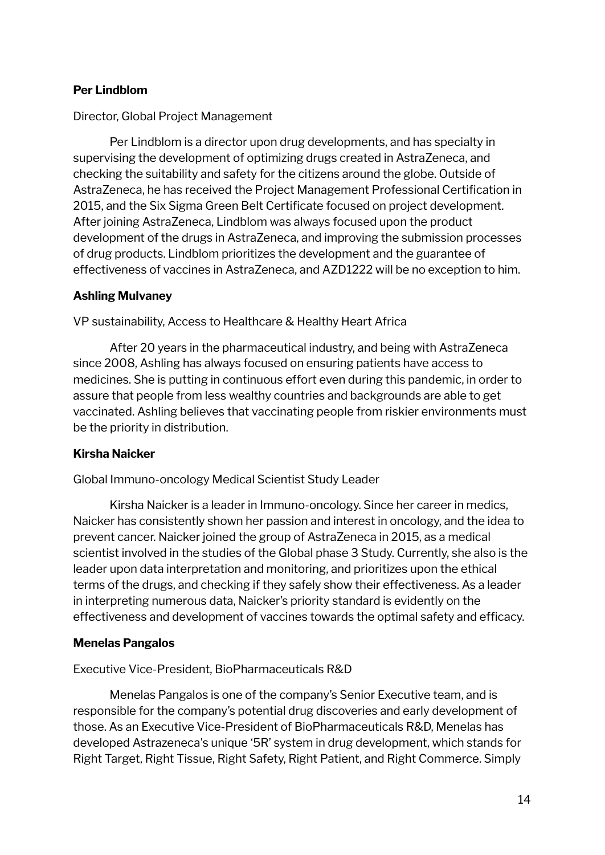#### **Per Lindblom**

#### Director, Global Project Management

Per Lindblom is a director upon drug developments, and has specialty in supervising the development of optimizing drugs created in AstraZeneca, and checking the suitability and safety for the citizens around the globe. Outside of AstraZeneca, he has received the Project Management Professional Certification in 2015, and the Six Sigma Green Belt Certificate focused on project development. After joining AstraZeneca, Lindblom was always focused upon the product development of the drugs in AstraZeneca, and improving the submission processes of drug products. Lindblom prioritizes the development and the guarantee of effectiveness of vaccines in AstraZeneca, and AZD1222 will be no exception to him.

#### **Ashling Mulvaney**

VP sustainability, Access to Healthcare & Healthy Heart Africa

After 20 years in the pharmaceutical industry, and being with AstraZeneca since 2008, Ashling has always focused on ensuring patients have access to medicines. She is putting in continuous effort even during this pandemic, in order to assure that people from less wealthy countries and backgrounds are able to get vaccinated. Ashling believes that vaccinating people from riskier environments must be the priority in distribution.

#### **Kirsha Naicker**

Global Immuno-oncology Medical Scientist Study Leader

Kirsha Naicker is a leader in Immuno-oncology. Since her career in medics, Naicker has consistently shown her passion and interest in oncology, and the idea to prevent cancer. Naicker joined the group of AstraZeneca in 2015, as a medical scientist involved in the studies of the Global phase 3 Study. Currently, she also is the leader upon data interpretation and monitoring, and prioritizes upon the ethical terms of the drugs, and checking if they safely show their effectiveness. As a leader in interpreting numerous data, Naicker's priority standard is evidently on the effectiveness and development of vaccines towards the optimal safety and efficacy.

#### **Menelas Pangalos**

#### Executive Vice-President, BioPharmaceuticals R&D

Menelas Pangalos is one of the company's Senior Executive team, and is responsible for the company's potential drug discoveries and early development of those. As an Executive Vice-President of BioPharmaceuticals R&D, Menelas has developed Astrazeneca's unique '5R' system in drug development, which stands for Right Target, Right Tissue, Right Safety, Right Patient, and Right Commerce. Simply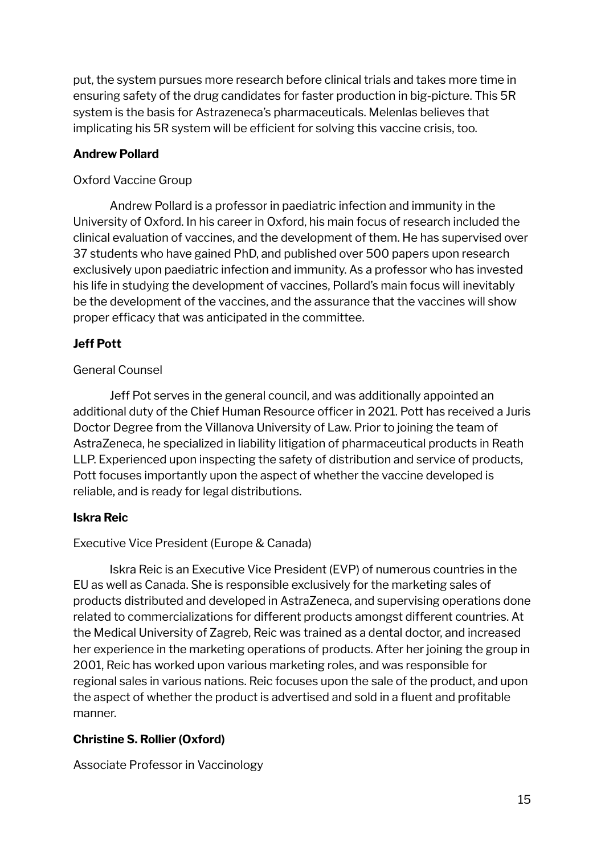put, the system pursues more research before clinical trials and takes more time in ensuring safety of the drug candidates for faster production in big-picture. This 5R system is the basis for Astrazeneca's pharmaceuticals. Melenlas believes that implicating his 5R system will be efficient for solving this vaccine crisis, too.

#### **Andrew Pollard**

#### Oxford Vaccine Group

Andrew Pollard is a professor in paediatric infection and immunity in the University of Oxford. In his career in Oxford, his main focus of research included the clinical evaluation of vaccines, and the development of them. He has supervised over 37 students who have gained PhD, and published over 500 papers upon research exclusively upon paediatric infection and immunity. As a professor who has invested his life in studying the development of vaccines, Pollard's main focus will inevitably be the development of the vaccines, and the assurance that the vaccines will show proper efficacy that was anticipated in the committee.

#### **Jeff Pott**

#### General Counsel

Jeff Pot serves in the general council, and was additionally appointed an additional duty of the Chief Human Resource officer in 2021. Pott has received a Juris Doctor Degree from the Villanova University of Law. Prior to joining the team of AstraZeneca, he specialized in liability litigation of pharmaceutical products in Reath LLP. Experienced upon inspecting the safety of distribution and service of products, Pott focuses importantly upon the aspect of whether the vaccine developed is reliable, and is ready for legal distributions.

#### **Iskra Reic**

#### Executive Vice President (Europe & Canada)

Iskra Reic is an Executive Vice President (EVP) of numerous countries in the EU as well as Canada. She is responsible exclusively for the marketing sales of products distributed and developed in AstraZeneca, and supervising operations done related to commercializations for different products amongst different countries. At the Medical University of Zagreb, Reic was trained as a dental doctor, and increased her experience in the marketing operations of products. After her joining the group in 2001, Reic has worked upon various marketing roles, and was responsible for regional sales in various nations. Reic focuses upon the sale of the product, and upon the aspect of whether the product is advertised and sold in a fluent and profitable manner.

#### **Christine S. Rollier (Oxford)**

Associate Professor in Vaccinology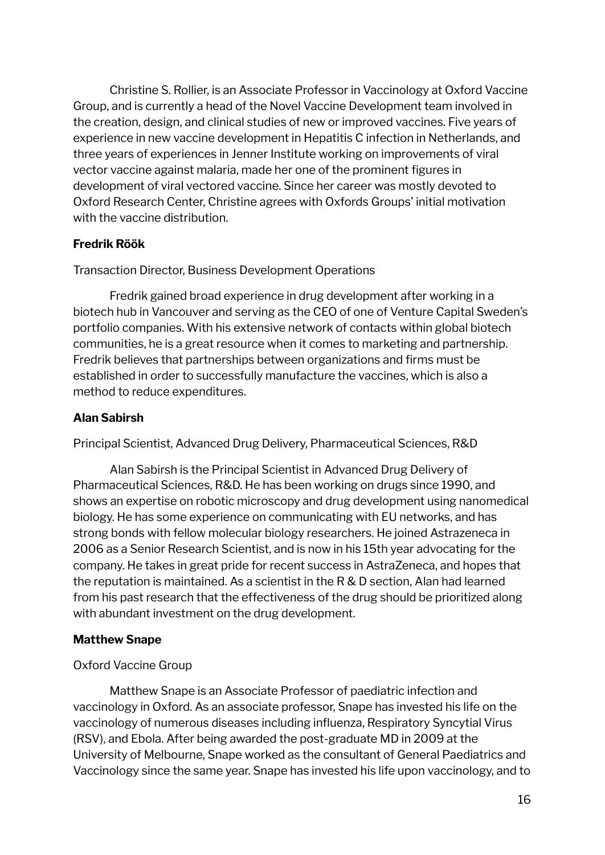Christine S. Rollier, is an Associate Professor in Vaccinology at Oxford Vaccine Group, and is currently a head of the Novel Vaccine Development team involved in the creation, design, and clinical studies of new or improved vaccines. Five years of experience in new vaccine development in Hepatitis C infection in Netherlands, and three years of experiences in Jenner Institute working on improvements of viral vector vaccine against malaria, made her one of the prominent figures in development of viral vectored vaccine. Since her career was mostly devoted to Oxford Research Center, Christine agrees with Oxfords Groups' initial motivation with the vaccine distribution.

#### **Fredrik Röök**

Transaction Director, Business Development Operations

Fredrik gained broad experience in drug development after working in a biotech hub in Vancouver and serving as the CEO of one of Venture Capital Sweden's portfolio companies. With his extensive network of contacts within global biotech communities, he is a great resource when it comes to marketing and partnership. Fredrik believes that partnerships between organizations and firms must be established in order to successfully manufacture the vaccines, which is also a method to reduce expenditures.

#### **Alan Sabirsh**

Principal Scientist, Advanced Drug Delivery, Pharmaceutical Sciences, R&D

Alan Sabirsh is the Principal Scientist in Advanced Drug Delivery of Pharmaceutical Sciences, R&D. He has been working on drugs since 1990, and shows an expertise on robotic microscopy and drug development using nanomedical biology. He has some experience on communicating with EU networks, and has strong bonds with fellow molecular biology researchers. He joined Astrazeneca in 2006 as a Senior Research Scientist, and is now in his 15th year advocating for the company. He takes in great pride for recent success in AstraZeneca, and hopes that the reputation is maintained. As a scientist in the R & D section, Alan had learned from his past research that the effectiveness of the drug should be prioritized along with abundant investment on the drug development.

#### **Matthew Snape**

#### Oxford Vaccine Group

Matthew Snape is an Associate Professor of paediatric infection and vaccinology in Oxford. As an associate professor, Snape has invested his life on the vaccinology of numerous diseases including influenza, Respiratory Syncytial Virus (RSV), and Ebola. After being awarded the post-graduate MD in 2009 at the University of Melbourne, Snape worked as the consultant of General Paediatrics and Vaccinology since the same year. Snape has invested his life upon vaccinology, and to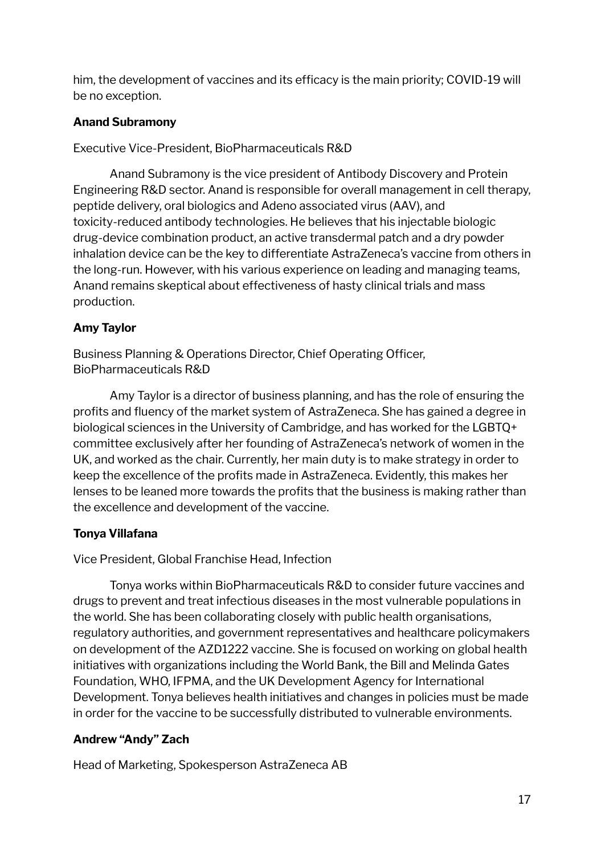him, the development of vaccines and its efficacy is the main priority; COVID-19 will be no exception.

#### **Anand Subramony**

Executive Vice-President, BioPharmaceuticals R&D

Anand Subramony is the vice president of Antibody Discovery and Protein Engineering R&D sector. Anand is responsible for overall management in cell therapy, peptide delivery, oral biologics and Adeno associated virus (AAV), and toxicity-reduced antibody technologies. He believes that his injectable biologic drug-device combination product, an active transdermal patch and a dry powder inhalation device can be the key to differentiate AstraZeneca's vaccine from others in the long-run. However, with his various experience on leading and managing teams, Anand remains skeptical about effectiveness of hasty clinical trials and mass production.

#### **Amy Taylor**

Business Planning & Operations Director, Chief Operating Officer, BioPharmaceuticals R&D

Amy Taylor is a director of business planning, and has the role of ensuring the profits and fluency of the market system of AstraZeneca. She has gained a degree in biological sciences in the University of Cambridge, and has worked for the LGBTQ+ committee exclusively after her founding of AstraZeneca's network of women in the UK, and worked as the chair. Currently, her main duty is to make strategy in order to keep the excellence of the profits made in AstraZeneca. Evidently, this makes her lenses to be leaned more towards the profits that the business is making rather than the excellence and development of the vaccine.

#### **Tonya Villafana**

Vice President, Global Franchise Head, Infection

Tonya works within BioPharmaceuticals R&D to consider future vaccines and drugs to prevent and treat infectious diseases in the most vulnerable populations in the world. She has been collaborating closely with public health organisations, regulatory authorities, and government representatives and healthcare policymakers on development of the AZD1222 vaccine. She is focused on working on global health initiatives with organizations including the World Bank, the Bill and Melinda Gates Foundation, WHO, IFPMA, and the UK Development Agency for International Development. Tonya believes health initiatives and changes in policies must be made in order for the vaccine to be successfully distributed to vulnerable environments.

#### **Andrew "Andy" Zach**

Head of Marketing, Spokesperson AstraZeneca AB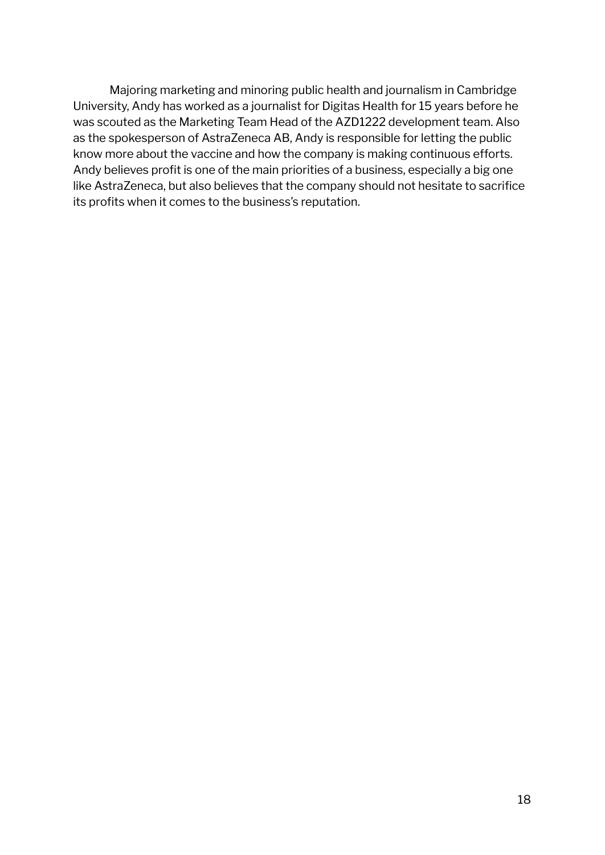Majoring marketing and minoring public health and journalism in Cambridge University, Andy has worked as a journalist for Digitas Health for 15 years before he was scouted as the Marketing Team Head of the AZD1222 development team. Also as the spokesperson of AstraZeneca AB, Andy is responsible for letting the public know more about the vaccine and how the company is making continuous efforts. Andy believes profit is one of the main priorities of a business, especially a big one like AstraZeneca, but also believes that the company should not hesitate to sacrifice its profits when it comes to the business's reputation.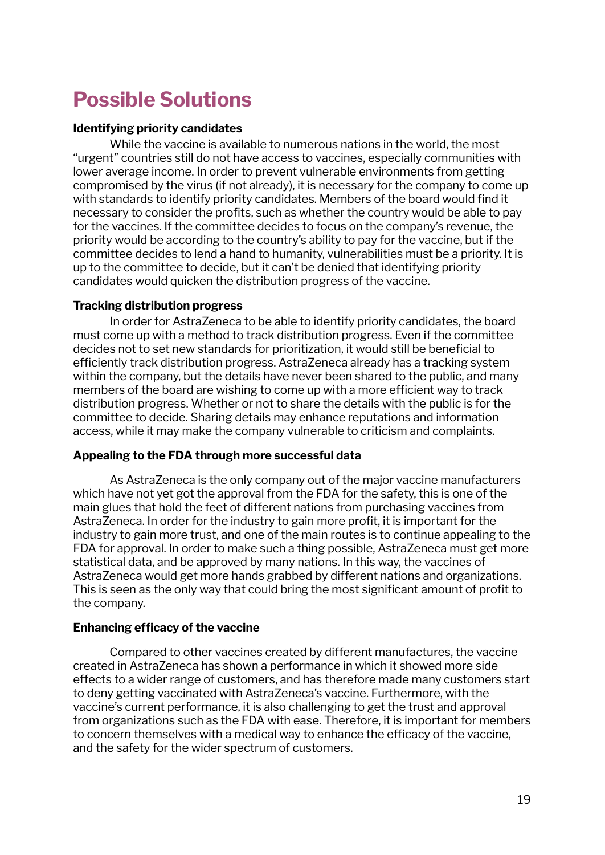### <span id="page-18-0"></span>**Possible Solutions**

#### **Identifying priority candidates**

While the vaccine is available to numerous nations in the world, the most "urgent" countries still do not have access to vaccines, especially communities with lower average income. In order to prevent vulnerable environments from getting compromised by the virus (if not already), it is necessary for the company to come up with standards to identify priority candidates. Members of the board would find it necessary to consider the profits, such as whether the country would be able to pay for the vaccines. If the committee decides to focus on the company's revenue, the priority would be according to the country's ability to pay for the vaccine, but if the committee decides to lend a hand to humanity, vulnerabilities must be a priority. It is up to the committee to decide, but it can't be denied that identifying priority candidates would quicken the distribution progress of the vaccine.

#### **Tracking distribution progress**

In order for AstraZeneca to be able to identify priority candidates, the board must come up with a method to track distribution progress. Even if the committee decides not to set new standards for prioritization, it would still be beneficial to efficiently track distribution progress. AstraZeneca already has a tracking system within the company, but the details have never been shared to the public, and many members of the board are wishing to come up with a more efficient way to track distribution progress. Whether or not to share the details with the public is for the committee to decide. Sharing details may enhance reputations and information access, while it may make the company vulnerable to criticism and complaints.

#### **Appealing to the FDA through more successful data**

As AstraZeneca is the only company out of the major vaccine manufacturers which have not yet got the approval from the FDA for the safety, this is one of the main glues that hold the feet of different nations from purchasing vaccines from AstraZeneca. In order for the industry to gain more profit, it is important for the industry to gain more trust, and one of the main routes is to continue appealing to the FDA for approval. In order to make such a thing possible, AstraZeneca must get more statistical data, and be approved by many nations. In this way, the vaccines of AstraZeneca would get more hands grabbed by different nations and organizations. This is seen as the only way that could bring the most significant amount of profit to the company.

#### **Enhancing efficacy of the vaccine**

Compared to other vaccines created by different manufactures, the vaccine created in AstraZeneca has shown a performance in which it showed more side effects to a wider range of customers, and has therefore made many customers start to deny getting vaccinated with AstraZeneca's vaccine. Furthermore, with the vaccine's current performance, it is also challenging to get the trust and approval from organizations such as the FDA with ease. Therefore, it is important for members to concern themselves with a medical way to enhance the efficacy of the vaccine, and the safety for the wider spectrum of customers.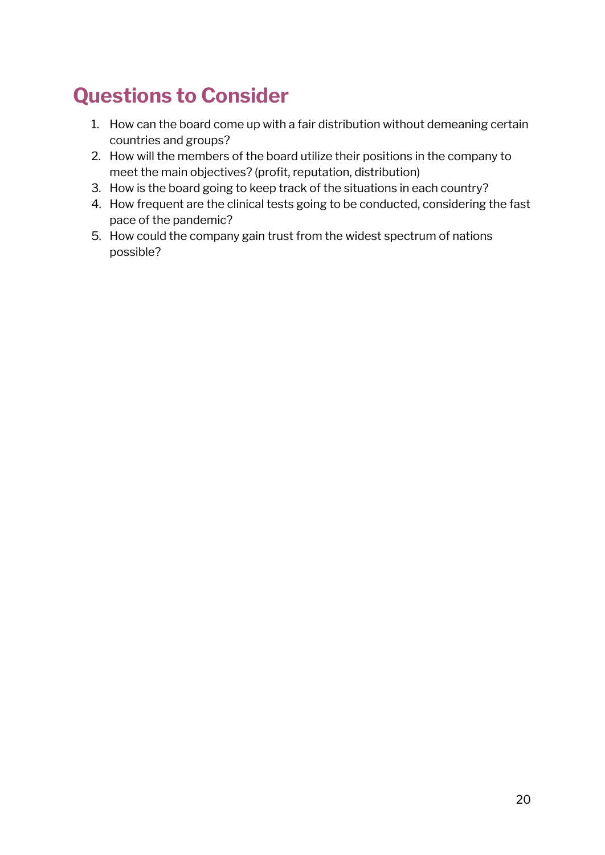### <span id="page-19-0"></span>**Questions to Consider**

- 1. How can the board come up with a fair distribution without demeaning certain countries and groups?
- 2. How will the members of the board utilize their positions in the company to meet the main objectives? (profit, reputation, distribution)
- 3. How is the board going to keep track of the situations in each country?
- 4. How frequent are the clinical tests going to be conducted, considering the fast pace of the pandemic?
- 5. How could the company gain trust from the widest spectrum of nations possible?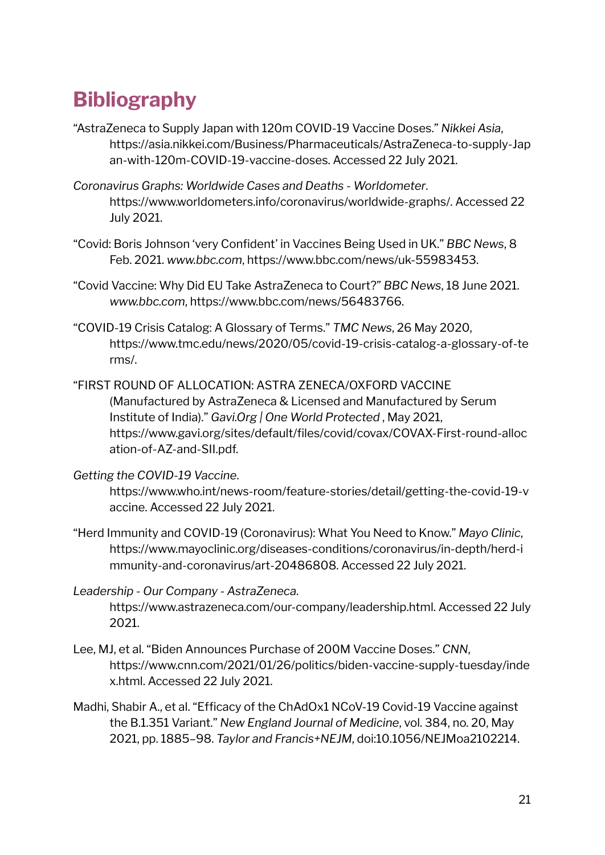### <span id="page-20-0"></span>**Bibliography**

- "AstraZeneca to Supply Japan with 120m COVID-19 Vaccine Doses." *Nikkei Asia*, https://asia.nikkei.com/Business/Pharmaceuticals/AstraZeneca-to-supply-Jap an-with-120m-COVID-19-vaccine-doses. Accessed 22 July 2021.
- *Coronavirus Graphs: Worldwide Cases and Deaths - Worldometer*. https://www.worldometers.info/coronavirus/worldwide-graphs/. Accessed 22 July 2021.
- "Covid: Boris Johnson 'very Confident' in Vaccines Being Used in UK." *BBC News*, 8 Feb. 2021. *www.bbc.com*, https://www.bbc.com/news/uk-55983453.
- "Covid Vaccine: Why Did EU Take AstraZeneca to Court?" *BBC News*, 18 June 2021. *www.bbc.com*, https://www.bbc.com/news/56483766.
- "COVID-19 Crisis Catalog: A Glossary of Terms." *TMC News*, 26 May 2020, https://www.tmc.edu/news/2020/05/covid-19-crisis-catalog-a-glossary-of-te rms/.
- "FIRST ROUND OF ALLOCATION: ASTRA ZENECA/OXFORD VACCINE (Manufactured by AstraZeneca & Licensed and Manufactured by Serum Institute of India)." *Gavi.Org | One World Protected* , May 2021, https://www.gavi.org/sites/default/files/covid/covax/COVAX-First-round-alloc ation-of-AZ-and-SII.pdf.
- *Getting the COVID-19 Vaccine*.

https://www.who.int/news-room/feature-stories/detail/getting-the-covid-19-v accine. Accessed 22 July 2021.

"Herd Immunity and COVID-19 (Coronavirus): What You Need to Know." *Mayo Clinic*, https://www.mayoclinic.org/diseases-conditions/coronavirus/in-depth/herd-i mmunity-and-coronavirus/art-20486808. Accessed 22 July 2021.

*Leadership - Our Company - AstraZeneca*. https://www.astrazeneca.com/our-company/leadership.html. Accessed 22 July 2021.

- Lee, MJ, et al. "Biden Announces Purchase of 200M Vaccine Doses." *CNN*, https://www.cnn.com/2021/01/26/politics/biden-vaccine-supply-tuesday/inde x.html. Accessed 22 July 2021.
- Madhi, Shabir A., et al. "Efficacy of the ChAdOx1 NCoV-19 Covid-19 Vaccine against the B.1.351 Variant." *New England Journal of Medicine*, vol. 384, no. 20, May 2021, pp. 1885–98. *Taylor and Francis+NEJM*, doi:10.1056/NEJMoa2102214.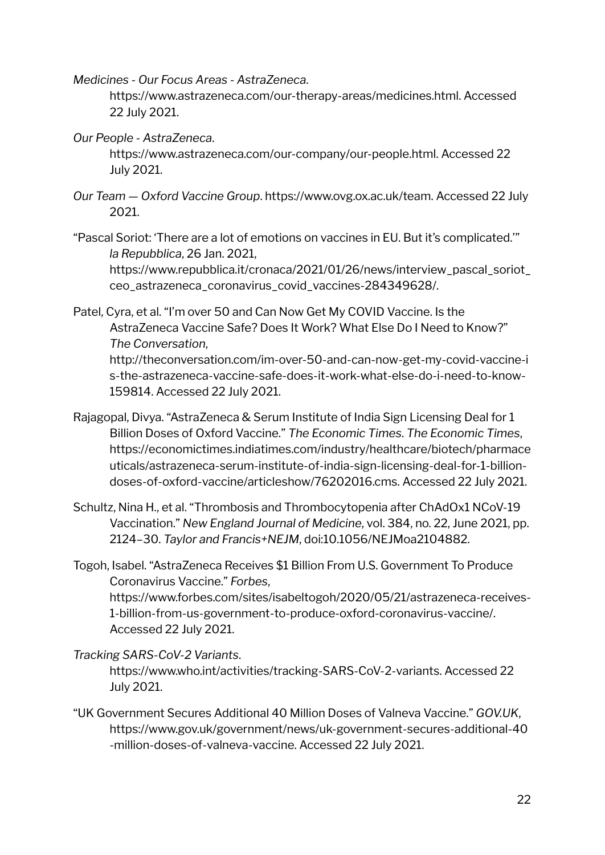*Medicines - Our Focus Areas - AstraZeneca*.

https://www.astrazeneca.com/our-therapy-areas/medicines.html. Accessed 22 July 2021.

*Our People - AstraZeneca*.

https://www.astrazeneca.com/our-company/our-people.html. Accessed 22 July 2021.

- *Our Team — Oxford Vaccine Group*. https://www.ovg.ox.ac.uk/team. Accessed 22 July 2021.
- "Pascal Soriot: 'There are a lot of emotions on vaccines in EU. But it's complicated.'" *la Repubblica*, 26 Jan. 2021,

https://www.repubblica.it/cronaca/2021/01/26/news/interview\_pascal\_soriot\_ ceo\_astrazeneca\_coronavirus\_covid\_vaccines-284349628/.

Patel, Cyra, et al. "I'm over 50 and Can Now Get My COVID Vaccine. Is the AstraZeneca Vaccine Safe? Does It Work? What Else Do I Need to Know?" *The Conversation*,

http://theconversation.com/im-over-50-and-can-now-get-my-covid-vaccine-i s-the-astrazeneca-vaccine-safe-does-it-work-what-else-do-i-need-to-know-159814. Accessed 22 July 2021.

- Rajagopal, Divya. "AstraZeneca & Serum Institute of India Sign Licensing Deal for 1 Billion Doses of Oxford Vaccine." *The Economic Times*. *The Economic Times*, https://economictimes.indiatimes.com/industry/healthcare/biotech/pharmace uticals/astrazeneca-serum-institute-of-india-sign-licensing-deal-for-1-billiondoses-of-oxford-vaccine/articleshow/76202016.cms. Accessed 22 July 2021.
- Schultz, Nina H., et al. "Thrombosis and Thrombocytopenia after ChAdOx1 NCoV-19 Vaccination." *New England Journal of Medicine*, vol. 384, no. 22, June 2021, pp. 2124–30. *Taylor and Francis+NEJM*, doi:10.1056/NEJMoa2104882.

Togoh, Isabel. "AstraZeneca Receives \$1 Billion From U.S. Government To Produce Coronavirus Vaccine." *Forbes*, https://www.forbes.com/sites/isabeltogoh/2020/05/21/astrazeneca-receives-1-billion-from-us-government-to-produce-oxford-coronavirus-vaccine/. Accessed 22 July 2021.

*Tracking SARS-CoV-2 Variants*.

https://www.who.int/activities/tracking-SARS-CoV-2-variants. Accessed 22 July 2021.

"UK Government Secures Additional 40 Million Doses of Valneva Vaccine." *GOV.UK*, https://www.gov.uk/government/news/uk-government-secures-additional-40 -million-doses-of-valneva-vaccine. Accessed 22 July 2021.